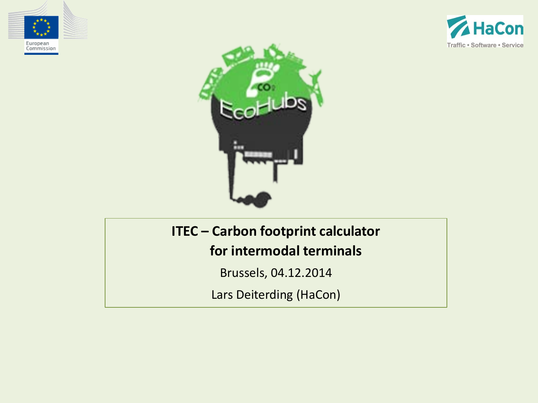





#### **ITEC – Carbon footprint calculator**

**for intermodal terminals**

Brussels, 04.12.2014

Lars Deiterding (HaCon)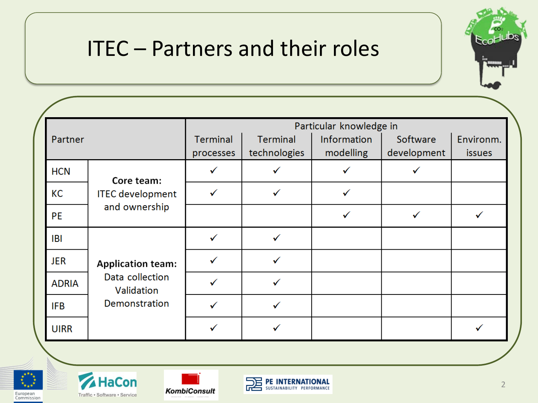#### ITEC – Partners and their roles



|              |                                                                            | Particular knowledge in      |                                 |                          |                         |                            |  |
|--------------|----------------------------------------------------------------------------|------------------------------|---------------------------------|--------------------------|-------------------------|----------------------------|--|
| Partner      |                                                                            | <b>Terminal</b><br>processes | <b>Terminal</b><br>technologies | Information<br>modelling | Software<br>development | Environm.<br><b>issues</b> |  |
| <b>HCN</b>   | Core team:                                                                 |                              | ✓                               | ✓                        | ✓                       |                            |  |
| <b>KC</b>    | <b>ITEC</b> development                                                    |                              |                                 | ✓                        |                         |                            |  |
| <b>PE</b>    | and ownership                                                              |                              |                                 | ✓                        | ✓                       |                            |  |
| <b>IBI</b>   | <b>Application team:</b><br>Data collection<br>Validation<br>Demonstration | ✓                            |                                 |                          |                         |                            |  |
| <b>JER</b>   |                                                                            |                              |                                 |                          |                         |                            |  |
| <b>ADRIA</b> |                                                                            |                              |                                 |                          |                         |                            |  |
| <b>IFB</b>   |                                                                            |                              | ✓                               |                          |                         |                            |  |
| <b>UIRR</b>  |                                                                            |                              |                                 |                          |                         |                            |  |







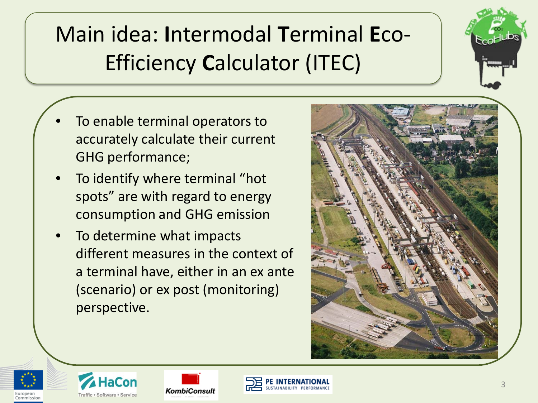# Main idea: **I**ntermodal **T**erminal **E**co-Efficiency **C**alculator (ITEC)

- To enable terminal operators to accurately calculate their current GHG performance;
- To identify where terminal "hot" spots" are with regard to energy consumption and GHG emission
- To determine what impacts different measures in the context of a terminal have, either in an ex ante (scenario) or ex post (monitoring) perspective.









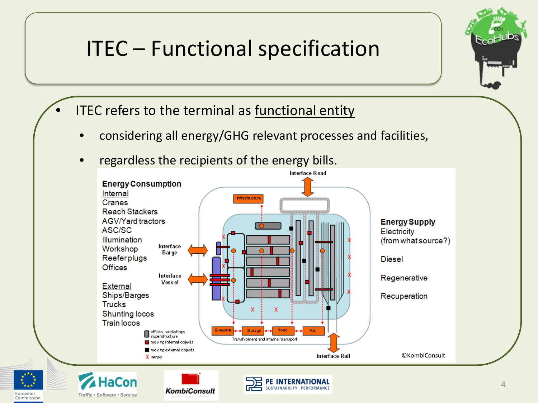#### ITEC – Functional specification



- ITEC refers to the terminal as functional entity
	- considering all energy/GHG relevant processes and facilities,
	- regardless the recipients of the energy bills.

**KombiConsult** 

European

Commission

Traffic · Software · Service

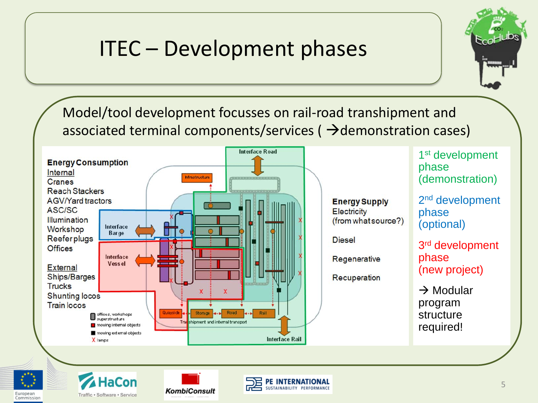#### ITEC – Development phases



Model/tool development focusses on rail-road transhipment and associated terminal components/services ( $\rightarrow$ demonstration cases)



European

Commission

Traffic · Software · Service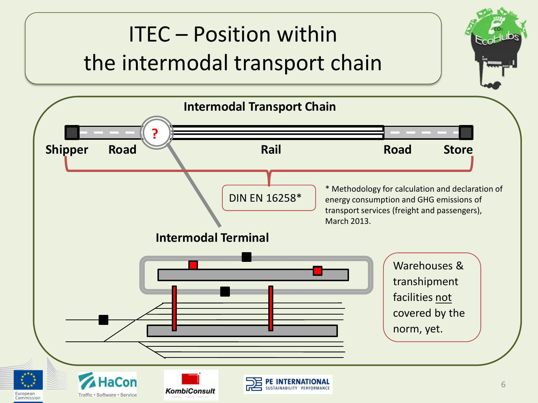#### ITEC – Position within the intermodal transport chain **Intermodal Transport Chain ? Shipper Road Rail Rail Road Store** \* Methodology for calculation and declaration of DIN EN 16258\* energy consumption and GHG emissions of transport services (freight and passengers), March 2013. **Intermodal Terminal** Warehouses & transhipment facilities not covered by the norm, yet. **HaCon** 6**KombiConsult** European Traffic · Software · Service

Commission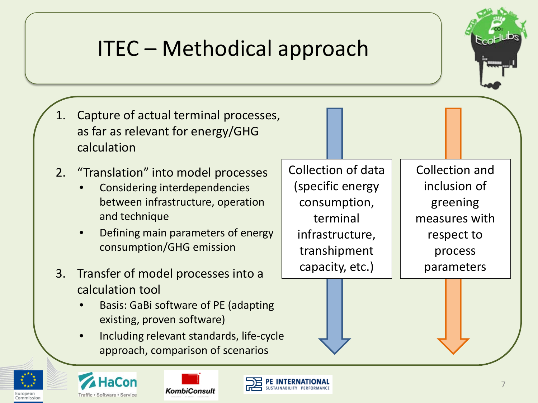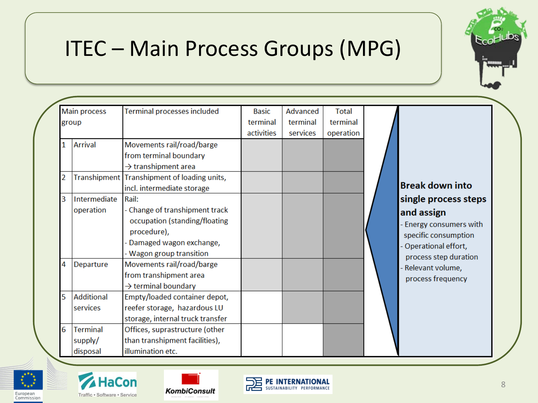

#### ITEC – Main Process Groups (MPG)

|       |                | <b>Main process</b>                    | Terminal processes included                                                                                                                      | <b>Basic</b> | Advanced | <b>Total</b> |                                   |
|-------|----------------|----------------------------------------|--------------------------------------------------------------------------------------------------------------------------------------------------|--------------|----------|--------------|-----------------------------------|
|       |                |                                        |                                                                                                                                                  | terminal     | terminal | terminal     |                                   |
| group |                |                                        |                                                                                                                                                  | activities   | services | operation    |                                   |
|       | 1              | <b>Arrival</b>                         | Movements rail/road/barge<br>from terminal boundary<br>$\rightarrow$ transhipment area                                                           |              |          |              |                                   |
|       | $\overline{2}$ |                                        | Transhipment Transhipment of loading units,<br>incl. intermediate storage                                                                        |              |          |              | Br                                |
|       | 3              | Intermediate<br>operation              | Rail:<br>- Change of transhipment track<br>occupation (standing/floating<br>procedure),<br>- Damaged wagon exchange,<br>- Wagon group transition |              |          |              | siı<br>ar<br>- E<br>S<br>- C<br>p |
|       | 4              | Departure                              | Movements rail/road/barge<br>from transhipment area<br>$\rightarrow$ terminal boundary                                                           |              |          |              | - R<br>p                          |
|       | 5              | Additional<br>services                 | Empty/loaded container depot,<br>reefer storage, hazardous LU<br>storage, internal truck transfer                                                |              |          |              |                                   |
|       | 6              | <b>Terminal</b><br>supply/<br>disposal | Offices, suprastructure (other<br>than transhipment facilities),<br>illumination etc.                                                            |              |          |              |                                   |



- nergy consumers with pecific consumption
- Operational effort,
- process step duration
- elevant volume,
- process frequency







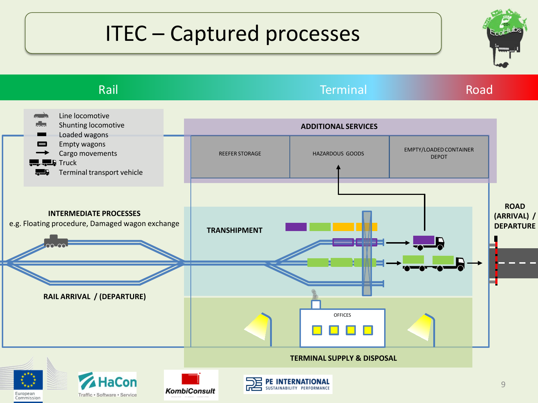## ITEC – Captured processes

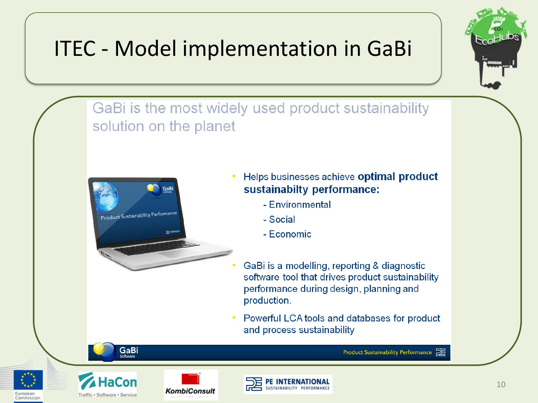### ITEC - Model implementation in GaBi



GaBi is the most widely used product sustainability solution on the planet



- Helps businesses achieve optimal product sustainabilty performance:
	- Environmental
	- Social
	- Economic
- GaBi is a modelling, reporting & diagnostic software tool that drives product sustainability performance during design, planning and production.
- Powerful LCA tools and databases for product and process sustainability





Europear

Commissio



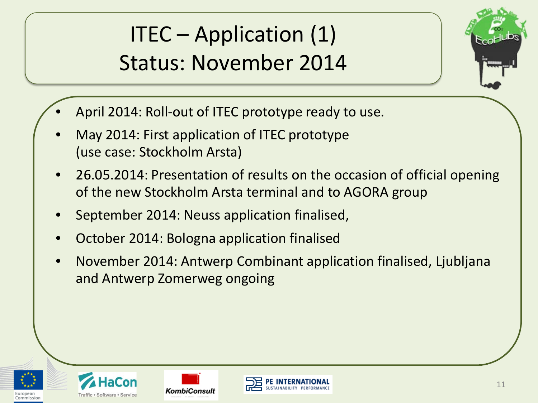ITEC – Application (1) Status: November 2014



- April 2014: Roll-out of ITEC prototype ready to use.
- May 2014: First application of ITEC prototype (use case: Stockholm Arsta)
- 26.05.2014: Presentation of results on the occasion of official opening of the new Stockholm Arsta terminal and to AGORA group
- September 2014: Neuss application finalised,
- October 2014: Bologna application finalised
- November 2014: Antwerp Combinant application finalised, Ljubljana and Antwerp Zomerweg ongoing







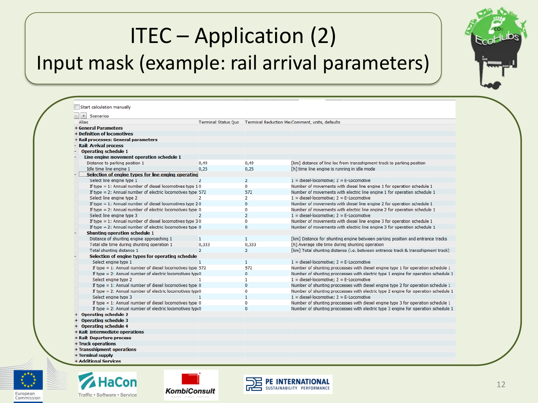## ITEC – Application (2) Input mask (example: rail arrival parameters)



| $+$<br>Scenarios                                                    |                |                |                                                                                    |
|---------------------------------------------------------------------|----------------|----------------|------------------------------------------------------------------------------------|
| <b>Alias</b>                                                        |                |                | Terminal Status Quo   Terminal Reduction Mei Comment, units, defaults              |
| + General Parameters                                                |                |                |                                                                                    |
| + Definition of locomotives                                         |                |                |                                                                                    |
| + Rail processes: General parameters                                |                |                |                                                                                    |
| - Rail: Arrival process                                             |                |                |                                                                                    |
| <b>Operating schedule 1</b>                                         |                |                |                                                                                    |
| Line engine movement operation schedule 1                           |                |                |                                                                                    |
| Distance to parking position 1                                      | 0,49           | 0,49           | [km] distance of line loc from transshipment track to parking position             |
| Idle time line engine 1                                             | 0.25           | 0,25           | [h] time line engine is running in idle mode                                       |
| Selection of engine types for line enging operating                 |                |                |                                                                                    |
| Select line engine type 1                                           | $\overline{2}$ | $\overline{2}$ | $1 =$ diesel-locomotive; $2 = E$ -Locomotive                                       |
| If type = 1: Annual number of diesel locomotives type $10$          |                | $\Omega$       | Number of movements with diesel line engine 1 for operation schedule 1             |
| If type $= 2$ : Annual number of electric locomotives type 572      |                | 572            | Number of movements with electric line engine 1 for operation schedule 1           |
| Select line engine type 2                                           |                | $\overline{2}$ | $1 =$ diesel-locomotive; $2 = E$ -Locomotive                                       |
| If type $= 1$ : Annual number of diesel locomotives type 2.0        |                | $\overline{0}$ | Number of movements with diesel line engine 2 for operation schedule 1             |
| If type $= 2$ : Annual number of electric locomotives type 0        |                | $\mathbf{0}$   | Number of movements with electric line engine 2 for operation schedule 1           |
| Select line engine type 3                                           | 2              | $\overline{2}$ | $1 =$ diesel-locomotive; $2 =$ E-Locomotive                                        |
| If type $= 1$ : Annual number of diesel locomotives type 30         |                | $\bf{0}$       | Number of movements with diesel line engine 3 for operation schedule 1             |
| If type $= 2$ : Annual number of electric locomotives type 0        |                | $\overline{0}$ | Number of movements with electric line engine 3 for operation schedule 1           |
| Shunting operation schedule 1                                       |                |                |                                                                                    |
| Distance of shunting engine approaching 1                           | 1              | $\mathbf{1}$   | [km] Distance for shunting engine between parking position and entrance tracks     |
| Total idle time during shunting operation 1                         | 0,333          | 0,333          | [h] Average idle time during shunting operation                                    |
| Total shunting distance 1                                           | $\overline{2}$ | $\overline{2}$ | [km] Total shunting distance (i.e. between entrance track & transshipment track)   |
| Selection of engine types for operating schedule                    |                |                |                                                                                    |
| Select engine type 1                                                |                | $\mathbf{1}$   | $1 =$ diesel-locomotive; $2 = E$ -Locomotive                                       |
| If type $= 1$ : Annual number of diesel locomotives type 572        |                | 572            | Number of shunting proccesses with diesel engine type 1 for operation schedule 1   |
| If type = 2: Annual number of electric locomotives typ $\epsilon$ 0 |                | $\mathbf{0}$   | Number of shunting proccesses with electric type 1 engine for operation schedule 1 |
| Select engine type 2                                                | 1              | 1              | $1 =$ diesel-locomotive; $2 =$ E-Locomotive                                        |
| If type = 1: Annual number of diesel locomotives type $0$           |                | $\Omega$       | Number of shunting proccesses with diesel engine type 2 for operation schedule 1   |
| If type = 2: Annual number of electric locomotives type 0           |                | $\mathbf{0}$   | Number of shunting proccesses with electric type 2 engine for operation schedule 1 |
| Select engine type 3                                                |                | $\mathbf{1}$   | $1 =$ diesel-locomotive: $2 = E$ -Locomotive                                       |
| If type = 1: Annual number of diesel locomotives type $0$           |                | $\mathbf{0}$   | Number of shunting proccesses with diesel engine type 3 for operation schedule 1   |
| If type = 2: Annual number of electric locomotives type 0           |                | $\overline{0}$ | Number of shunting proccesses with electric type 3 engine for operation schedule 1 |
| + Operating schedule 2                                              |                |                |                                                                                    |
| + Operating schedule 3                                              |                |                |                                                                                    |
| + Operating schedule 4                                              |                |                |                                                                                    |
| + Rail: Intermediate operations                                     |                |                |                                                                                    |
| + Rail: Departure process                                           |                |                |                                                                                    |
| + Truck operations                                                  |                |                |                                                                                    |
| + Transshipment operations                                          |                |                |                                                                                    |
| + Terminal supply                                                   |                |                |                                                                                    |

+ Additional Services



European

Commission



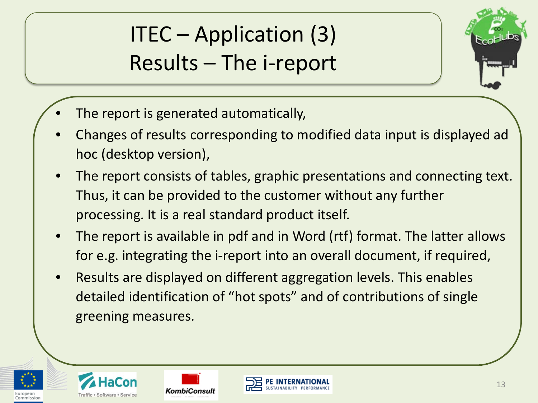ITEC – Application (3) Results – The i-report



- The report is generated automatically,
- Changes of results corresponding to modified data input is displayed ad hoc (desktop version),
- The report consists of tables, graphic presentations and connecting text. Thus, it can be provided to the customer without any further processing. It is a real standard product itself.
- The report is available in pdf and in Word (rtf) format. The latter allows for e.g. integrating the i-report into an overall document, if required,
- Results are displayed on different aggregation levels. This enables detailed identification of "hot spots" and of contributions of single greening measures.





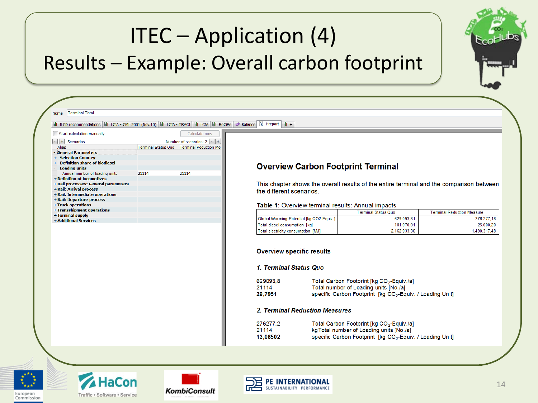#### ITEC – Application (4) Results – Example: Overall carbon footprint





**HaCon** Traffic . Software . Service



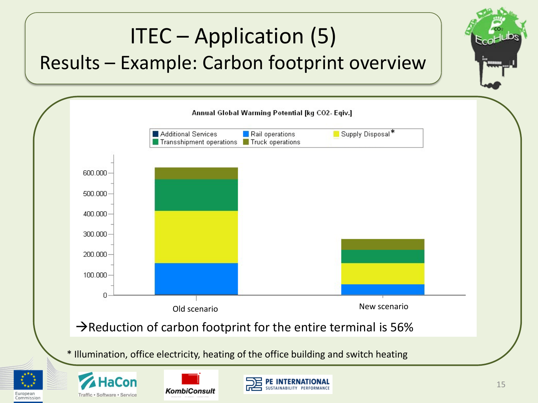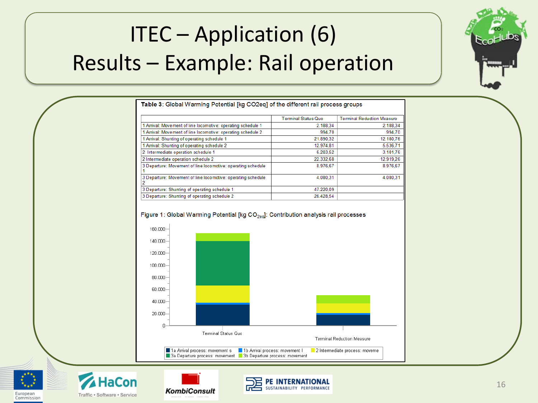# ITEC – Application (6) Results – Example: Rail operation



| <b>Table 3: Global Warming Potential [kg CO2eq] of the different rail process groups</b> |                     |                                   |  |  |  |
|------------------------------------------------------------------------------------------|---------------------|-----------------------------------|--|--|--|
|                                                                                          | Terminal Status Quo | <b>Terminal Reduction Measure</b> |  |  |  |
| 1 Arrival: Movement of line locomotive: operating schedule 1                             | 2.188.34            | 2.188,34                          |  |  |  |
| 1 Arrival: Movement of line locomotive: operating schedule 2                             | 994.70              | 994,70                            |  |  |  |
| 1 Arrival: Shunting of operating schedule 1                                              | 21.890.32           | 12.180,76                         |  |  |  |
| 1 Arrival: Shunting of operating schedule 2                                              | 12.974.81           | 5.536.71                          |  |  |  |
| 2 Intermediate operation schedule 1                                                      | 6.203.52            | 3.101.76                          |  |  |  |
| 2 Intermediate operation schedule 2                                                      | 22.332.68           | 12.919.26                         |  |  |  |
| 3 Departure: Movement of line locomotive: operating schedule                             | 8.976.67            | 8.976.67                          |  |  |  |
| 3 Departure: Movement of line locomotive: operating schedule                             | 4.080.31            | 4.080.31                          |  |  |  |
| 3 Departure: Shunting of operating schedule 1                                            | 47.220.09           |                                   |  |  |  |
| 3 Departure: Shunting of operating schedule 2                                            | 26.428.54           |                                   |  |  |  |

#### Figure 1: Global Warming Potential [kg CO<sub>2e0</sub>]: Contribution analysis rail processes





Commission





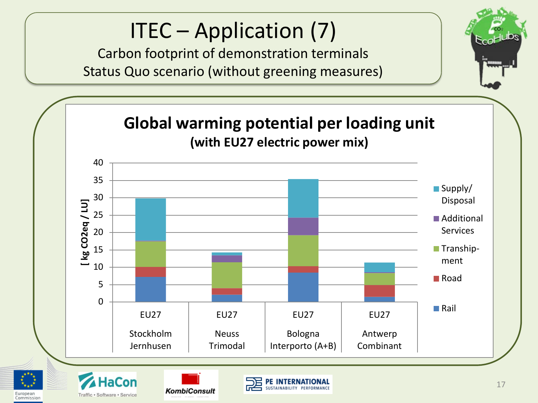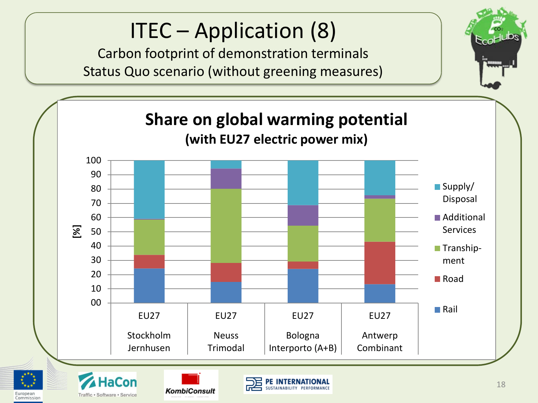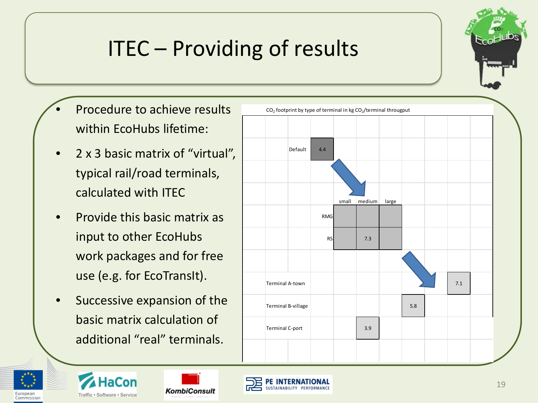

# ITEC – Providing of results

- Procedure to achieve results within EcoHubs lifetime:
- 2 x 3 basic matrix of "virtual", typical rail/road terminals, calculated with ITEC
- Provide this basic matrix as input to other EcoHubs work packages and for free use (e.g. for EcoTransIt).
- Successive expansion of the basic matrix calculation of additional "real" terminals.





**HaCon** 



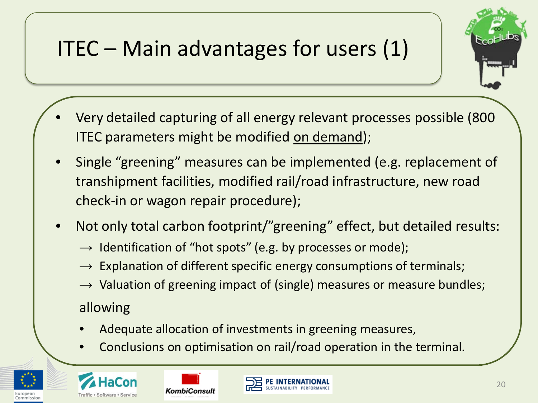# ITEC – Main advantages for users (1)



- Very detailed capturing of all energy relevant processes possible (800 ITEC parameters might be modified on demand);
- Single "greening" measures can be implemented (e.g. replacement of transhipment facilities, modified rail/road infrastructure, new road check-in or wagon repair procedure);
- Not only total carbon footprint/"greening" effect, but detailed results:
	- $\rightarrow$  Identification of "hot spots" (e.g. by processes or mode);
	- $\rightarrow$  Explanation of different specific energy consumptions of terminals;
	- $\rightarrow$  Valuation of greening impact of (single) measures or measure bundles;

allowing

- Adequate allocation of investments in greening measures,
- Conclusions on optimisation on rail/road operation in the terminal.







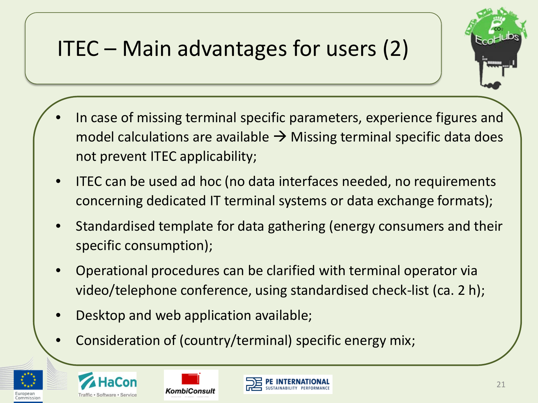# ITEC – Main advantages for users (2)



- In case of missing terminal specific parameters, experience figures and model calculations are available  $\rightarrow$  Missing terminal specific data does not prevent ITEC applicability;
- ITEC can be used ad hoc (no data interfaces needed, no requirements concerning dedicated IT terminal systems or data exchange formats);
- Standardised template for data gathering (energy consumers and their specific consumption);
- Operational procedures can be clarified with terminal operator via video/telephone conference, using standardised check-list (ca. 2 h);
- Desktop and web application available;
- Consideration of (country/terminal) specific energy mix;